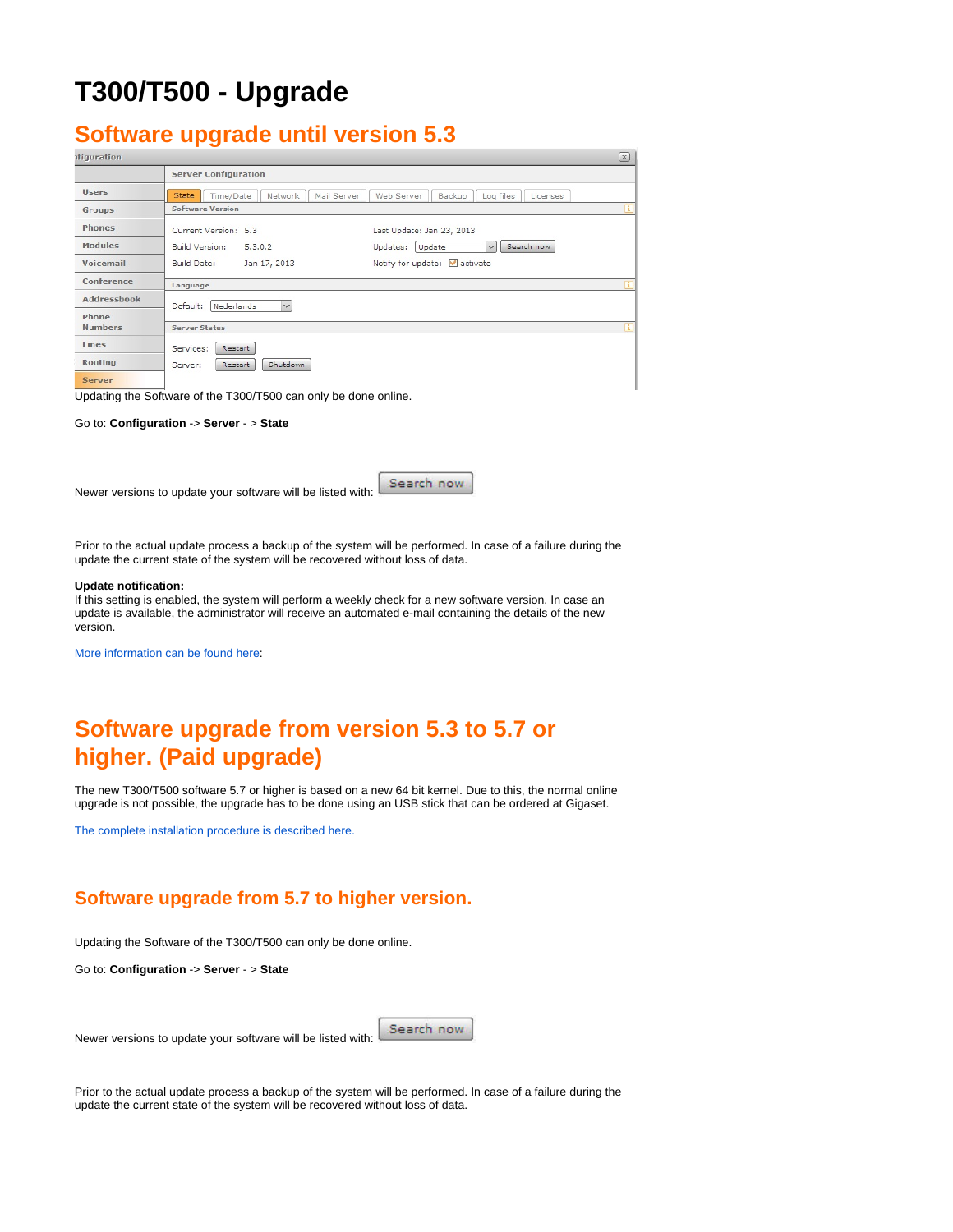# **T300/T500 - Upgrade**

### <span id="page-0-0"></span>**Software upgrade until version 5.3**

| <i>ifiguration</i> |                                                     |                                               |
|--------------------|-----------------------------------------------------|-----------------------------------------------|
|                    | <b>Server Configuration</b>                         |                                               |
| <b>Users</b>       | Time/Date<br><b>State</b><br>Network<br>Mail Server | Licenses<br>Web Server<br>Backup<br>Log files |
| <b>Groups</b>      | <b>Software Version</b>                             | Œ                                             |
| Phones             | Current Version: 5.3                                | Last Update: Jan 23, 2013                     |
| <b>Modules</b>     | Build Version:<br>5.3.0.2                           | Search now<br>Updates:<br>Update<br>$\vee$    |
| Voicemail          | Build Date:<br>Jan 17, 2013                         | Notify for update: activate                   |
| Conference         | Language                                            | н                                             |
| <b>Addressbook</b> | $\checkmark$<br>Default:<br>Nederlands              |                                               |
| Phone              |                                                     |                                               |
| <b>Numbers</b>     | <b>Server Status</b>                                |                                               |
| Lines              | Services:<br>Restart                                |                                               |
| <b>Routing</b>     | Shutdown<br>Restart<br>Server:                      |                                               |
| Server             |                                                     |                                               |

Updating the Software of the T300/T500 can only be done online.

Go to: **Configuration** -> **Server** - > **State**

Newer versions to update your software will be listed with:

Search now

Prior to the actual update process a backup of the system will be performed. In case of a failure during the update the current state of the system will be recovered without loss of data.

#### **Update notification:**

If this setting is enabled, the system will perform a weekly check for a new software version. In case an update is available, the administrator will receive an automated e-mail containing the details of the new version.

[More information can be found here:](https://teamwork.gigaset.com/gigawiki/pages/viewpage.action?pageId=17596985)

## <span id="page-0-1"></span>**Software upgrade from version 5.3 to 5.7 or higher. (Paid upgrade)**

The new T300/T500 software 5.7 or higher is based on a new 64 bit kernel. Due to this, the normal online upgrade is not possible, the upgrade has to be done using an USB stick that can be ordered at Gigaset.

[The complete installation procedure is described here.](https://teamwork.gigaset.com/gigawiki/pages/viewpage.action?pageId=101253286)

### <span id="page-0-2"></span>**Software upgrade from 5.7 to higher version.**

Updating the Software of the T300/T500 can only be done online.

Go to: **Configuration** -> **Server** - > **State**

Newer versions to update your software will be listed with:

Search now

Prior to the actual update process a backup of the system will be performed. In case of a failure during the update the current state of the system will be recovered without loss of data.